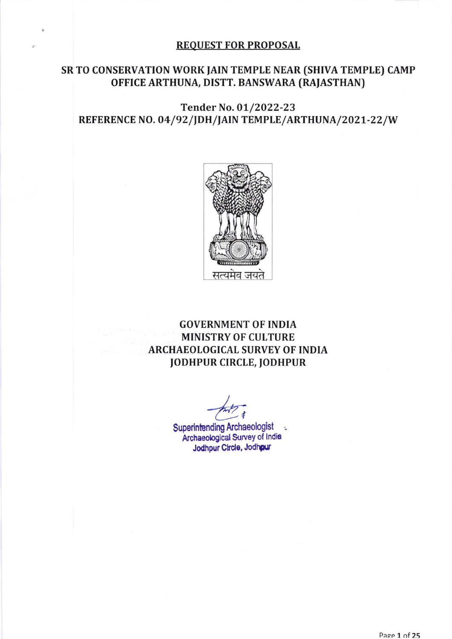#### **REQUEST FOR PROPOSAL**

### SR TO CONSERVATION WORK JAIN TEMPLE NEAR (SHIVA TEMPLE) CAMP OFFICE ARTHUNA, DISTT. BANSWARA (RAJASTHAN)

# Tender No. 01/2022-23 REFERENCE NO. 04/92/JDH/JAIN TEMPLE/ARTHUNA/2021-22/W



# **GOVERNMENT OF INDIA MINISTRY OF CULTURE ARCHAEOLOGICAL SURVEY OF INDIA JODHPUR CIRCLE, JODHPUR**

**Superintending Archaeologist** t. Archaeological Survey of India Jodhpur Circle, Jodhpur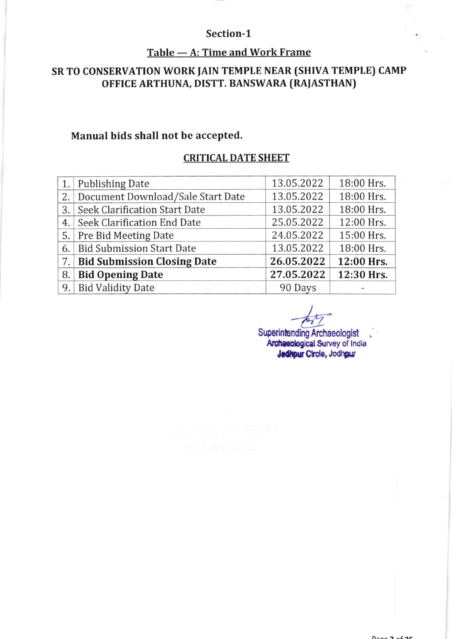#### Section-1

# Table — A: Time and Work Frame

# SR TO CONSERVATION WORK JAIN TEMPLE NEAR (SHIVA TEMPLE) CAMP oFFICE ARTHUNA, DISTT. BANSWARA (RAJASTHAN)

#### Manual bids shall not be accepted.

### CRITICAL DATE SHEET

|    | 1. Publishing Date                   | 13.05.2022 | 18:00 Hrs. |
|----|--------------------------------------|------------|------------|
| 2. | Document Download/Sale Start Date    | 13.05.2022 | 18:00 Hrs. |
| 3. | <b>Seek Clarification Start Date</b> | 13.05.2022 | 18:00 Hrs. |
| 4. | Seek Clarification End Date          | 25.05.2022 | 12:00 Hrs. |
| 5. | <b>Pre Bid Meeting Date</b>          | 24.05.2022 | 15:00 Hrs. |
| 6. | <b>Bid Submission Start Date</b>     | 13.05.2022 | 18:00 Hrs. |
| 7. | <b>Bid Submission Closing Date</b>   | 26.05.2022 | 12:00 Hrs. |
| 8. | <b>Bid Opening Date</b>              | 27.05.2022 | 12:30 Hrs. |
| 9. | <b>Bid Validity Date</b>             | 90 Days    |            |

**Archaeologist** Archaeological Survey of India Jedhpur Circle, Jodhpur